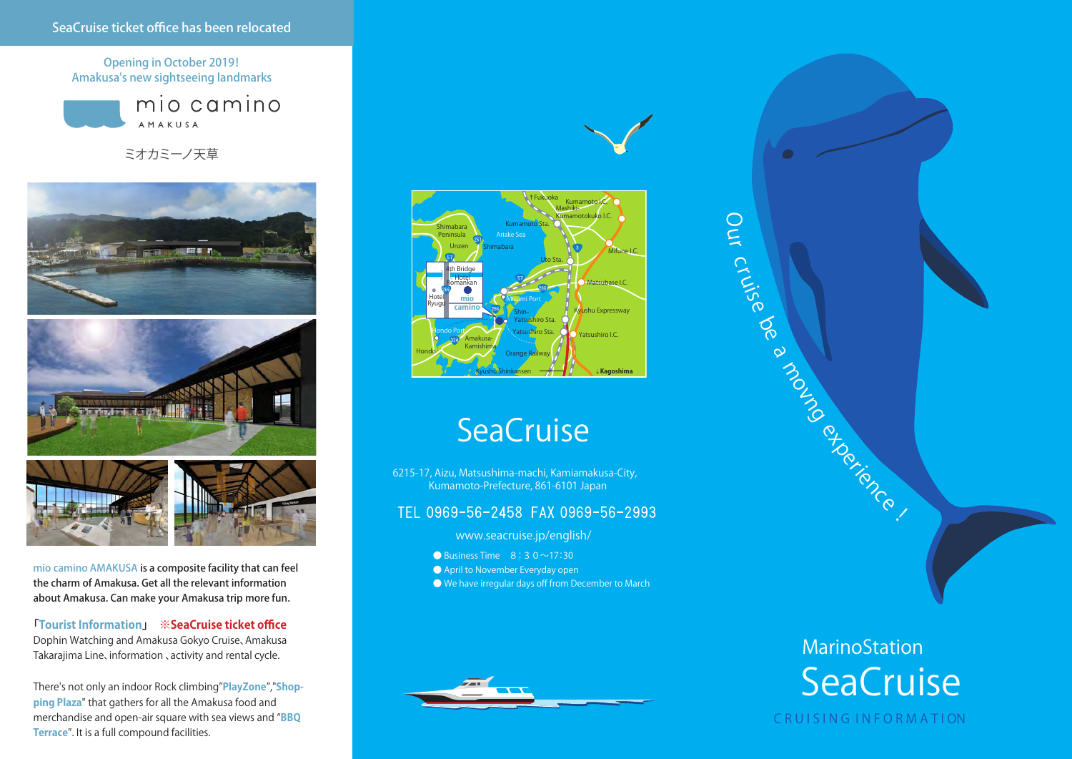Opening in October 2019! Amakusa's new sightseeing landmarks



ミオカミーノ天草



mio camino AMAKUSA is a composite facility that can feel the charm of Amakusa. Get all the relevant information about Amakusa. Can make your Amakusa trip more fun.

**「Tourist Information」 ※SeaCruise ticket office** Dophin Watching and Amakusa Gokyo Cruise、Amakusa Takarajima Line、information 、activity and rental cycle.

There's not only an indoor Rock climbing"**PlayZone**","**Shopping Plaza**" that gathers for all the Amakusa food and merchandise and open-air square with sea views and "**BBQ Terrace**". It is a full compound facilities.



 $\bigcirc$  $\widetilde{\mathcal{C}}$  $\cap$ 

ruise

 $\delta$  $\infty$ 

# **SeaCruise**

6215-17, Aizu, Matsushima-machi, Kamiamakusa-City, Kumamoto-Prefecture, 861-6101 Japan

### TEL 0969-56-2458 FAX 0969-56-2993

www.seacruise.jp/english/

- Business Time  $8:30 \sim 17:30$
- April to November Everyday open
- $\bigcirc$  We have irregular days off from December to March



MarinoStation **SeaCruise** 

mongoliance !

### C R U I S I N G I N F O R M A T I ON